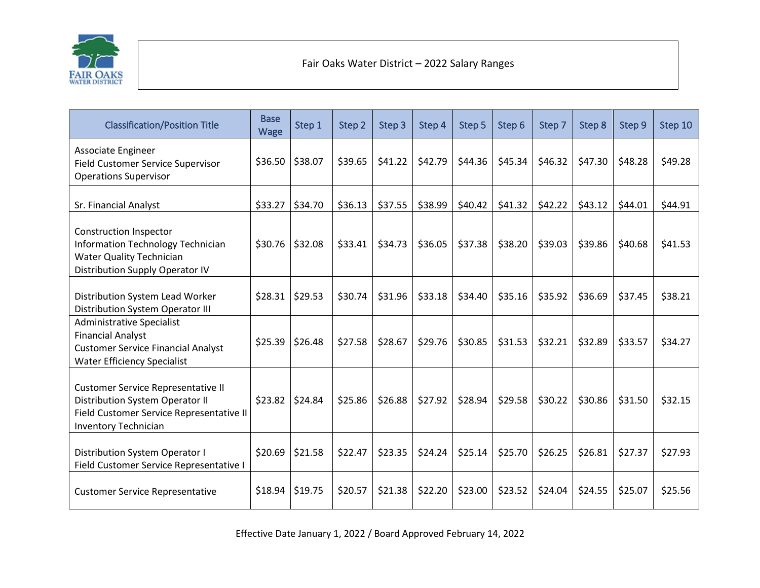

## Fair Oaks Water District – 2022 Salary Ranges

j

| <b>Classification/Position Title</b>                                                                                                                    | <b>Base</b><br>Wage | Step 1  | Step 2  | Step 3  | Step 4  | Step 5  | Step 6  | Step 7  | Step 8  | Step 9  | Step 10 |
|---------------------------------------------------------------------------------------------------------------------------------------------------------|---------------------|---------|---------|---------|---------|---------|---------|---------|---------|---------|---------|
| Associate Engineer<br><b>Field Customer Service Supervisor</b><br><b>Operations Supervisor</b>                                                          | \$36.50             | \$38.07 | \$39.65 | \$41.22 | \$42.79 | \$44.36 | \$45.34 | \$46.32 | \$47.30 | \$48.28 | \$49.28 |
| Sr. Financial Analyst                                                                                                                                   | \$33.27             | \$34.70 | \$36.13 | \$37.55 | \$38.99 | \$40.42 | \$41.32 | \$42.22 | \$43.12 | \$44.01 | \$44.91 |
| Construction Inspector<br><b>Information Technology Technician</b><br><b>Water Quality Technician</b><br>Distribution Supply Operator IV                | \$30.76             | \$32.08 | \$33.41 | \$34.73 | \$36.05 | \$37.38 | \$38.20 | \$39.03 | \$39.86 | \$40.68 | \$41.53 |
| Distribution System Lead Worker<br>Distribution System Operator III                                                                                     | \$28.31             | \$29.53 | \$30.74 | \$31.96 | \$33.18 | \$34.40 | \$35.16 | \$35.92 | \$36.69 | \$37.45 | \$38.21 |
| <b>Administrative Specialist</b><br><b>Financial Analyst</b><br><b>Customer Service Financial Analyst</b><br><b>Water Efficiency Specialist</b>         | \$25.39             | \$26.48 | \$27.58 | \$28.67 | \$29.76 | \$30.85 | \$31.53 | \$32.21 | \$32.89 | \$33.57 | \$34.27 |
| <b>Customer Service Representative II</b><br>Distribution System Operator II<br>Field Customer Service Representative II<br><b>Inventory Technician</b> | \$23.82             | \$24.84 | \$25.86 | \$26.88 | \$27.92 | \$28.94 | \$29.58 | \$30.22 | \$30.86 | \$31.50 | \$32.15 |
| Distribution System Operator I<br>Field Customer Service Representative I                                                                               | \$20.69             | \$21.58 | \$22.47 | \$23.35 | \$24.24 | \$25.14 | \$25.70 | \$26.25 | \$26.81 | \$27.37 | \$27.93 |
| <b>Customer Service Representative</b>                                                                                                                  | \$18.94             | \$19.75 | \$20.57 | \$21.38 | \$22.20 | \$23.00 | \$23.52 | \$24.04 | \$24.55 | \$25.07 | \$25.56 |